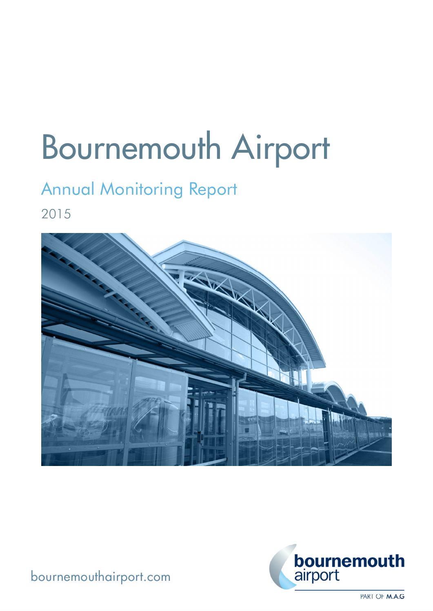# Bournemouth Airport

## Annual Monitoring Report

2015





bournemouthairport.com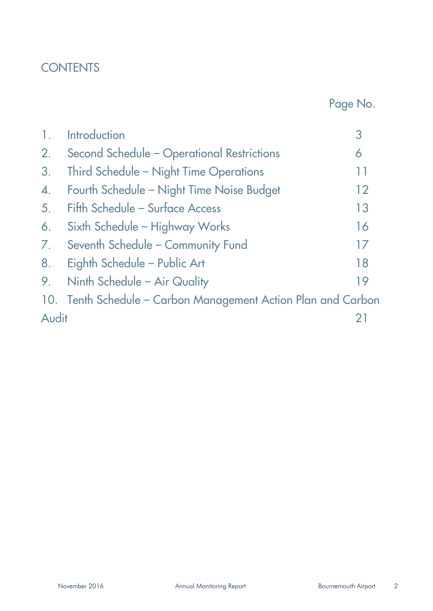## **CONTENTS**

Page No.

| $\overline{1}$ . | <b>Introduction</b>                                           | З  |
|------------------|---------------------------------------------------------------|----|
| 2.               | Second Schedule - Operational Restrictions                    | 6  |
| 3.               | Third Schedule - Night Time Operations                        | 11 |
| $\overline{4}$ . | Fourth Schedule - Night Time Noise Budget                     | 12 |
| 5.               | Fifth Schedule - Surface Access                               | 13 |
| 6.               | Sixth Schedule - Highway Works                                | 16 |
| 7.               | Seventh Schedule - Community Fund                             | 17 |
| 8.               | Eighth Schedule - Public Art                                  | 18 |
| 9.               | Ninth Schedule - Air Quality                                  | 19 |
|                  | 10. Tenth Schedule – Carbon Management Action Plan and Carbon |    |
| Audit            |                                                               |    |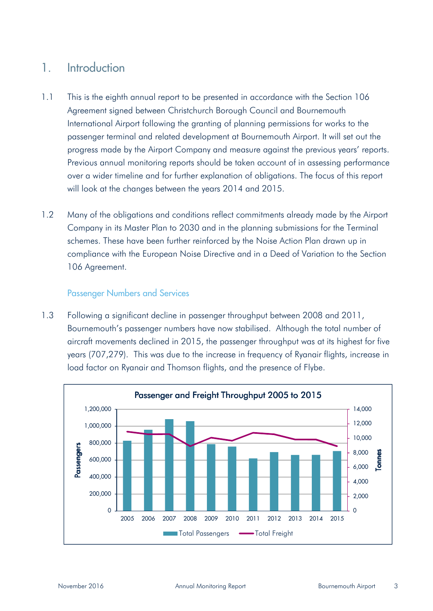#### 1. Introduction

- 1.1 This is the eighth annual report to be presented in accordance with the Section 106 Agreement signed between Christchurch Borough Council and Bournemouth International Airport following the granting of planning permissions for works to the passenger terminal and related development at Bournemouth Airport. It will set out the progress made by the Airport Company and measure against the previous years' reports. Previous annual monitoring reports should be taken account of in assessing performance over a wider timeline and for further explanation of obligations. The focus of this report will look at the changes between the years 2014 and 2015.
- 1.2 Many of the obligations and conditions reflect commitments already made by the Airport Company in its Master Plan to 2030 and in the planning submissions for the Terminal schemes. These have been further reinforced by the Noise Action Plan drawn up in compliance with the European Noise Directive and in a Deed of Variation to the Section 106 Agreement.

#### Passenger Numbers and Services

1.3 Following a significant decline in passenger throughput between 2008 and 2011, Bournemouth's passenger numbers have now stabilised. Although the total number of aircraft movements declined in 2015, the passenger throughput was at its highest for five years (707,279). This was due to the increase in frequency of Ryanair flights, increase in load factor on Ryanair and Thomson flights, and the presence of Flybe.

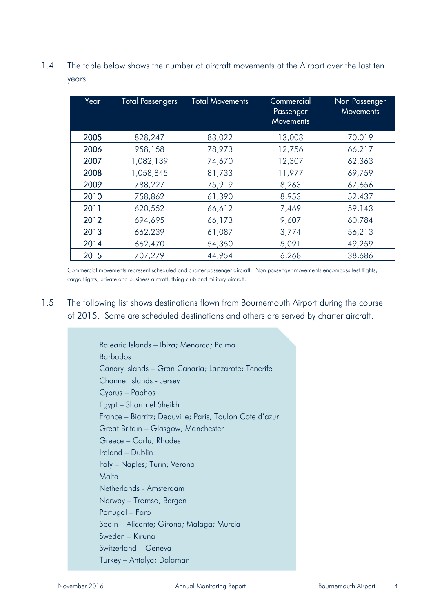1.4 The table below shows the number of aircraft movements at the Airport over the last ten years.

| Year | <b>Total Passengers</b> | <b>Total Movements</b> | Commercial<br>Passenger<br><b>Movements</b> | Non Passenger<br><b>Movements</b> |
|------|-------------------------|------------------------|---------------------------------------------|-----------------------------------|
| 2005 | 828,247                 | 83,022                 | 13,003                                      | 70,019                            |
| 2006 | 958,158                 | 78,973                 | 12,756                                      | 66,217                            |
| 2007 | 1,082,139               | 74,670                 | 12,307                                      | 62,363                            |
| 2008 | 1,058,845               | 81,733                 | 11,977                                      | 69,759                            |
| 2009 | 788,227                 | 75,919                 | 8,263                                       | 67,656                            |
| 2010 | 758,862                 | 61,390                 | 8,953                                       | 52,437                            |
| 2011 | 620,552                 | 66,612                 | 7,469                                       | 59,143                            |
| 2012 | 694,695                 | 66,173                 | 9,607                                       | 60,784                            |
| 2013 | 662,239                 | 61,087                 | 3,774                                       | 56,213                            |
| 2014 | 662,470                 | 54,350                 | 5,091                                       | 49,259                            |
| 2015 | 707,279                 | 44,954                 | 6,268                                       | 38,686                            |

Commercial movements represent scheduled and charter passenger aircraft. Non passenger movements encompass test flights, cargo flights, private and business aircraft, flying club and military aircraft.

1.5 The following list shows destinations flown from Bournemouth Airport during the course of 2015. Some are scheduled destinations and others are served by charter aircraft.

> Balearic Islands – Ibiza; Menorca; Palma Barbados Canary Islands – Gran Canaria; Lanzarote; Tenerife Channel Islands - Jersey Cyprus – Paphos Egypt – Sharm el Sheikh France – Biarritz; Deauville; Paris; Toulon Cote d'azur Great Britain – Glasgow; Manchester Greece – Corfu; Rhodes Ireland – Dublin Italy – Naples; Turin; Verona Malta Netherlands - Amsterdam Norway – Tromso; Bergen Portugal – Faro Spain – Alicante; Girona; Malaga; Murcia Sweden – Kiruna Switzerland – Geneva Turkey – Antalya; Dalaman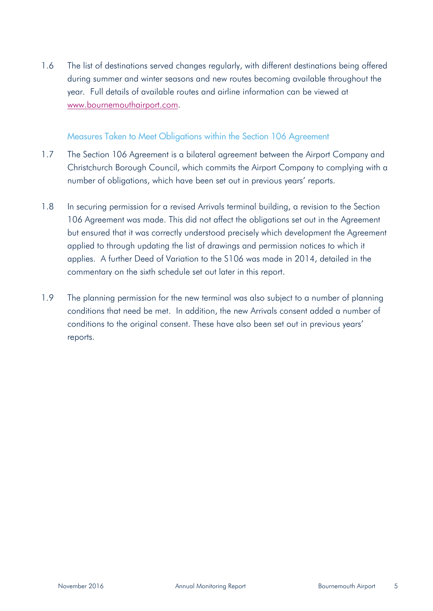1.6 The list of destinations served changes regularly, with different destinations being offered during summer and winter seasons and new routes becoming available throughout the year. Full details of available routes and airline information can be viewed at www.bournemouthairport.com.

#### Measures Taken to Meet Obligations within the Section 106 Agreement

- 1.7 The Section 106 Agreement is a bilateral agreement between the Airport Company and Christchurch Borough Council, which commits the Airport Company to complying with a number of obligations, which have been set out in previous years' reports.
- 1.8 In securing permission for a revised Arrivals terminal building, a revision to the Section 106 Agreement was made. This did not affect the obligations set out in the Agreement but ensured that it was correctly understood precisely which development the Agreement applied to through updating the list of drawings and permission notices to which it applies. A further Deed of Variation to the S106 was made in 2014, detailed in the commentary on the sixth schedule set out later in this report.
- 1.9 The planning permission for the new terminal was also subject to a number of planning conditions that need be met. In addition, the new Arrivals consent added a number of conditions to the original consent. These have also been set out in previous years' reports.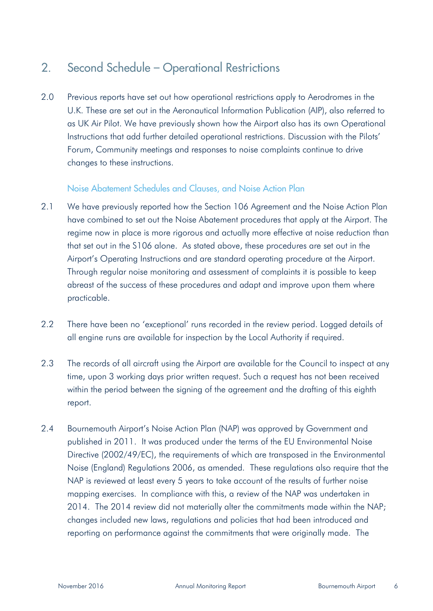#### 2. Second Schedule – Operational Restrictions

2.0 Previous reports have set out how operational restrictions apply to Aerodromes in the U.K. These are set out in the Aeronautical Information Publication (AIP), also referred to as UK Air Pilot. We have previously shown how the Airport also has its own Operational Instructions that add further detailed operational restrictions. Discussion with the Pilots' Forum, Community meetings and responses to noise complaints continue to drive changes to these instructions.

#### Noise Abatement Schedules and Clauses, and Noise Action Plan

- 2.1 We have previously reported how the Section 106 Agreement and the Noise Action Plan have combined to set out the Noise Abatement procedures that apply at the Airport. The regime now in place is more rigorous and actually more effective at noise reduction than that set out in the S106 alone. As stated above, these procedures are set out in the Airport's Operating Instructions and are standard operating procedure at the Airport. Through regular noise monitoring and assessment of complaints it is possible to keep abreast of the success of these procedures and adapt and improve upon them where practicable.
- 2.2 There have been no 'exceptional' runs recorded in the review period. Logged details of all engine runs are available for inspection by the Local Authority if required.
- 2.3 The records of all aircraft using the Airport are available for the Council to inspect at any time, upon 3 working days prior written request. Such a request has not been received within the period between the signing of the agreement and the drafting of this eighth report.
- 2.4 Bournemouth Airport's Noise Action Plan (NAP) was approved by Government and published in 2011. It was produced under the terms of the EU Environmental Noise Directive (2002/49/EC), the requirements of which are transposed in the Environmental Noise (England) Regulations 2006, as amended. These regulations also require that the NAP is reviewed at least every 5 years to take account of the results of further noise mapping exercises. In compliance with this, a review of the NAP was undertaken in 2014. The 2014 review did not materially alter the commitments made within the NAP; changes included new laws, regulations and policies that had been introduced and reporting on performance against the commitments that were originally made. The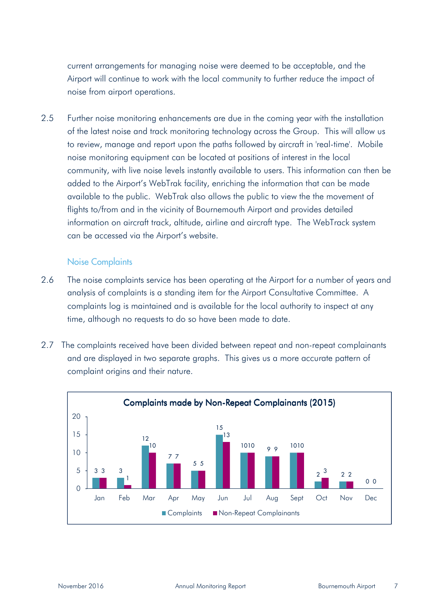current arrangements for managing noise were deemed to be acceptable, and the Airport will continue to work with the local community to further reduce the impact of noise from airport operations.

2.5 Further noise monitoring enhancements are due in the coming year with the installation of the latest noise and track monitoring technology across the Group. This will allow us to review, manage and report upon the paths followed by aircraft in 'real-time'. Mobile noise monitoring equipment can be located at positions of interest in the local community, with live noise levels instantly available to users. This information can then be added to the Airport's WebTrak facility, enriching the information that can be made available to the public. WebTrak also allows the public to view the the movement of flights to/from and in the vicinity of Bournemouth Airport and provides detailed information on aircraft track, altitude, airline and aircraft type. The WebTrack system can be accessed via the Airport's website.

#### Noise Complaints

- 2.6 The noise complaints service has been operating at the Airport for a number of years and analysis of complaints is a standing item for the Airport Consultative Committee. A complaints log is maintained and is available for the local authority to inspect at any time, although no requests to do so have been made to date.
- 2.7 The complaints received have been divided between repeat and non-repeat complainants and are displayed in two separate graphs. This gives us a more accurate pattern of complaint origins and their nature.

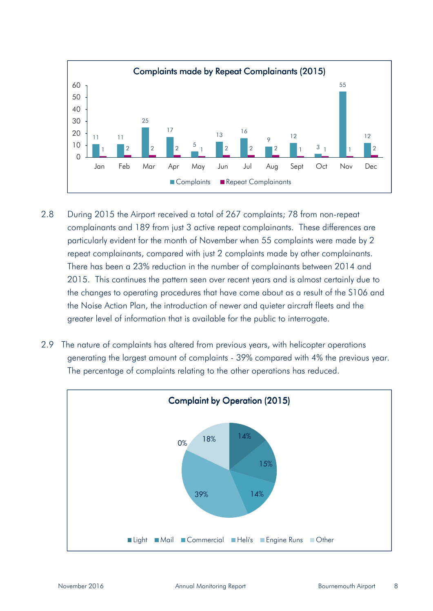

- 2.8 During 2015 the Airport received a total of 267 complaints; 78 from non-repeat complainants and 189 from just 3 active repeat complainants. These differences are particularly evident for the month of November when 55 complaints were made by 2 repeat complainants, compared with just 2 complaints made by other complainants. There has been a 23% reduction in the number of complainants between 2014 and 2015. This continues the pattern seen over recent years and is almost certainly due to the changes to operating procedures that have come about as a result of the S106 and the Noise Action Plan, the introduction of newer and quieter aircraft fleets and the greater level of information that is available for the public to interrogate.
- 2.9 The nature of complaints has altered from previous years, with helicopter operations generating the largest amount of complaints - 39% compared with 4% the previous year. The percentage of complaints relating to the other operations has reduced.

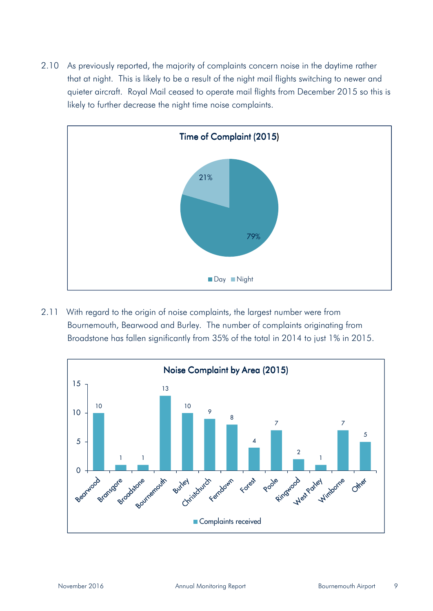2.10 As previously reported, the majority of complaints concern noise in the daytime rather that at night. This is likely to be a result of the night mail flights switching to newer and quieter aircraft. Royal Mail ceased to operate mail flights from December 2015 so this is likely to further decrease the night time noise complaints.



2.11 With regard to the origin of noise complaints, the largest number were from Bournemouth, Bearwood and Burley. The number of complaints originating from Broadstone has fallen significantly from 35% of the total in 2014 to just 1% in 2015.

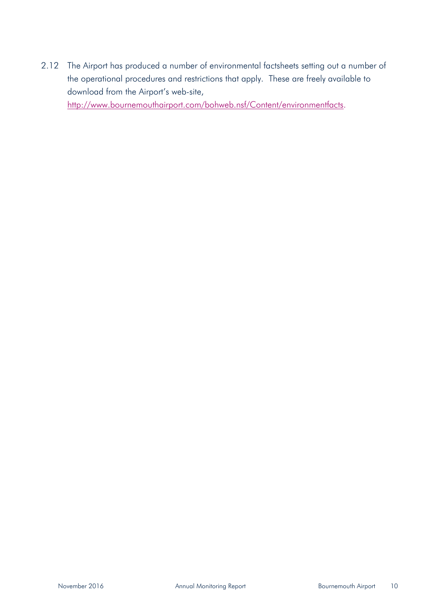2.12 The Airport has produced a number of environmental factsheets setting out a number of the operational procedures and restrictions that apply. These are freely available to download from the Airport's web-site,

http://www.bournemouthairport.com/bohweb.nsf/Content/environmentfacts.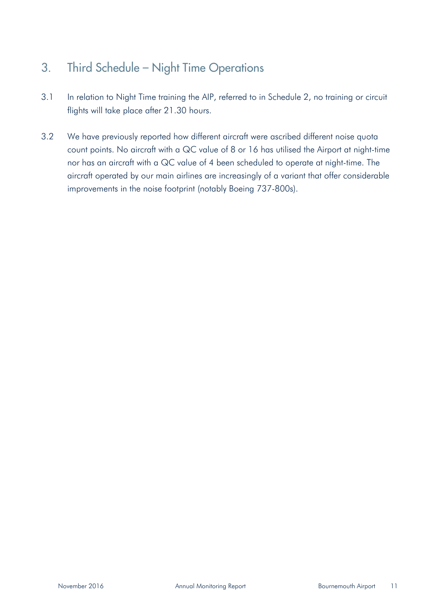### 3. Third Schedule – Night Time Operations

- 3.1 In relation to Night Time training the AIP, referred to in Schedule 2, no training or circuit flights will take place after 21.30 hours.
- 3.2 We have previously reported how different aircraft were ascribed different noise quota count points. No aircraft with a QC value of 8 or 16 has utilised the Airport at night-time nor has an aircraft with a QC value of 4 been scheduled to operate at night-time. The aircraft operated by our main airlines are increasingly of a variant that offer considerable improvements in the noise footprint (notably Boeing 737-800s).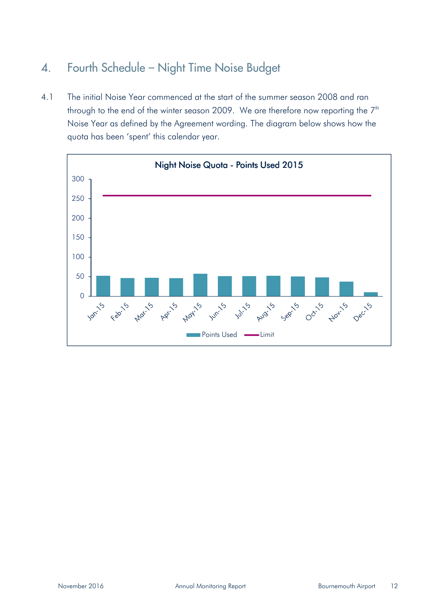#### 4. Fourth Schedule – Night Time Noise Budget

4.1 The initial Noise Year commenced at the start of the summer season 2008 and ran through to the end of the winter season 2009. We are therefore now reporting the  $7<sup>th</sup>$ Noise Year as defined by the Agreement wording. The diagram below shows how the quota has been 'spent' this calendar year.

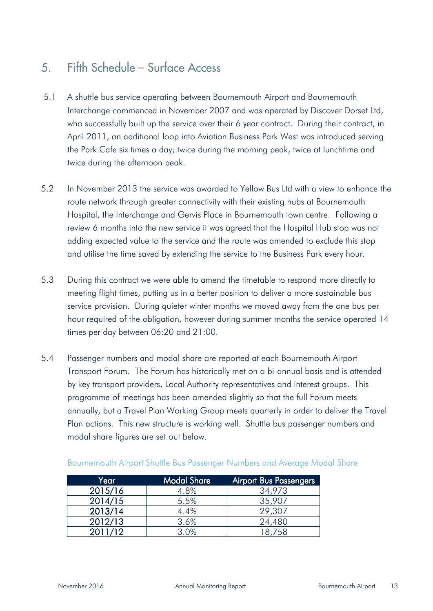#### 5. Fifth Schedule – Surface Access

- 5.1 A shuttle bus service operating between Bournemouth Airport and Bournemouth Interchange commenced in November 2007 and was operated by Discover Dorset Ltd, who successfully built up the service over their 6 year contract. During their contract, in April 2011, an additional loop into Aviation Business Park West was introduced serving the Park Cafe six times a day; twice during the morning peak, twice at lunchtime and twice during the afternoon peak.
- 5.2 In November 2013 the service was awarded to Yellow Bus Ltd with a view to enhance the route network through greater connectivity with their existing hubs at Bournemouth Hospital, the Interchange and Gervis Place in Bournemouth town centre. Following a review 6 months into the new service it was agreed that the Hospital Hub stop was not adding expected value to the service and the route was amended to exclude this stop and utilise the time saved by extending the service to the Business Park every hour.
- 5.3 During this contract we were able to amend the timetable to respond more directly to meeting flight times, putting us in a better position to deliver a more sustainable bus service provision. During quieter winter months we moved away from the one bus per hour required of the obligation, however during summer months the service operated 14 times per day between 06:20 and 21:00.
- 5.4 Passenger numbers and modal share are reported at each Bournemouth Airport Transport Forum. The Forum has historically met on a bi-annual basis and is attended by key transport providers, Local Authority representatives and interest groups. This programme of meetings has been amended slightly so that the full Forum meets annually, but a Travel Plan Working Group meets quarterly in order to deliver the Travel Plan actions. This new structure is working well. Shuttle bus passenger numbers and modal share figures are set out below.

| Year    | <b>Modal Share</b> | <b>Airport Bus Passengers</b> |
|---------|--------------------|-------------------------------|
| 2015/16 | 4.8%               | 34,973                        |
| 2014/15 | 5.5%               | 35,907                        |
| 2013/14 | 4.4%               | 29,307                        |
| 2012/13 | 3.6%               | 24,480                        |
| 2011/12 | 3.0%               | 8.758                         |

#### Bournemouth Airport Shuttle Bus Passenger Numbers and Average Modal Share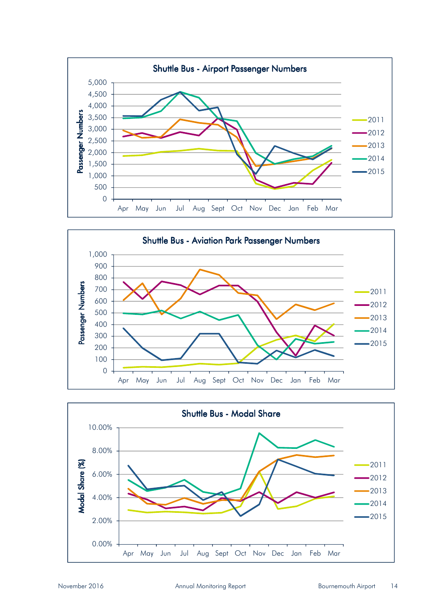



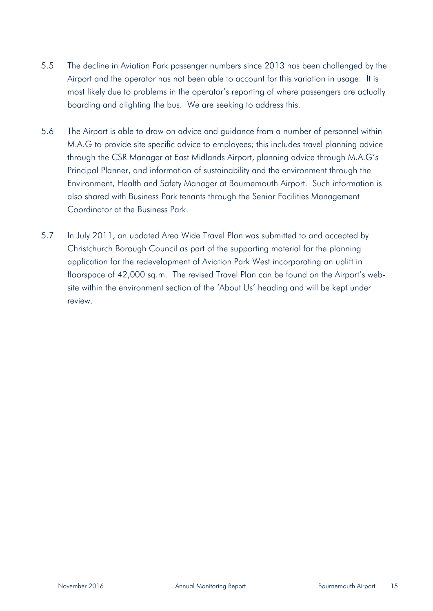- 5.5 The decline in Aviation Park passenger numbers since 2013 has been challenged by the Airport and the operator has not been able to account for this variation in usage. It is most likely due to problems in the operator's reporting of where passengers are actually boarding and alighting the bus. We are seeking to address this.
- 5.6 The Airport is able to draw on advice and guidance from a number of personnel within M.A.G to provide site specific advice to employees; this includes travel planning advice through the CSR Manager at East Midlands Airport, planning advice through M.A.G's Principal Planner, and information of sustainability and the environment through the Environment, Health and Safety Manager at Bournemouth Airport. Such information is also shared with Business Park tenants through the Senior Facilities Management Coordinator at the Business Park.
- 5.7 In July 2011, an updated Area Wide Travel Plan was submitted to and accepted by Christchurch Borough Council as part of the supporting material for the planning application for the redevelopment of Aviation Park West incorporating an uplift in floorspace of 42,000 sq.m. The revised Travel Plan can be found on the Airport's website within the environment section of the 'About Us' heading and will be kept under review.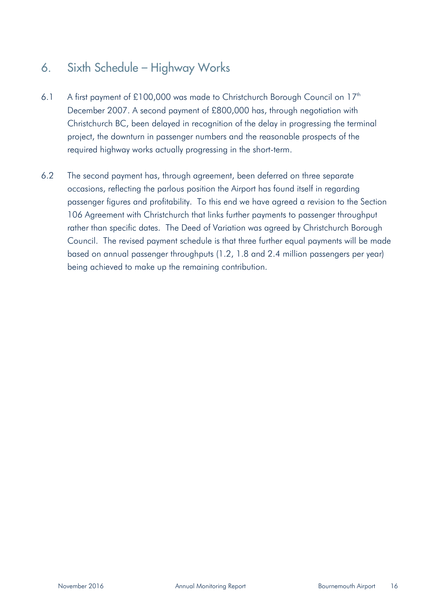### 6. Sixth Schedule – Highway Works

- 6.1 A first payment of £100,000 was made to Christchurch Borough Council on 17<sup>th</sup> December 2007. A second payment of £800,000 has, through negotiation with Christchurch BC, been delayed in recognition of the delay in progressing the terminal project, the downturn in passenger numbers and the reasonable prospects of the required highway works actually progressing in the short-term.
- 6.2 The second payment has, through agreement, been deferred on three separate occasions, reflecting the parlous position the Airport has found itself in regarding passenger figures and profitability. To this end we have agreed a revision to the Section 106 Agreement with Christchurch that links further payments to passenger throughput rather than specific dates. The Deed of Variation was agreed by Christchurch Borough Council. The revised payment schedule is that three further equal payments will be made based on annual passenger throughputs (1.2, 1.8 and 2.4 million passengers per year) being achieved to make up the remaining contribution.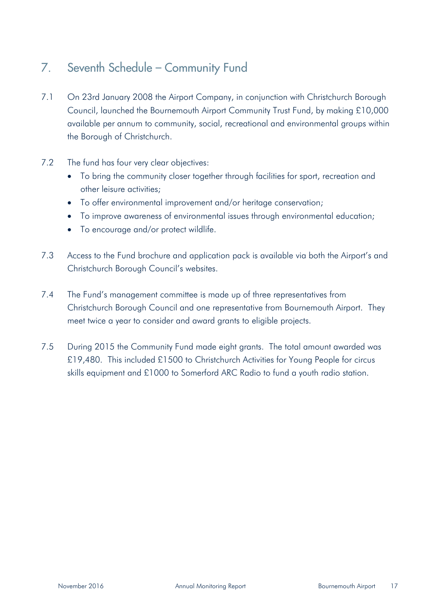#### 7. Seventh Schedule – Community Fund

- 7.1 On 23rd January 2008 the Airport Company, in conjunction with Christchurch Borough Council, launched the Bournemouth Airport Community Trust Fund, by making £10,000 available per annum to community, social, recreational and environmental groups within the Borough of Christchurch.
- 7.2 The fund has four very clear objectives:
	- To bring the community closer together through facilities for sport, recreation and other leisure activities;
	- To offer environmental improvement and/or heritage conservation;
	- To improve awareness of environmental issues through environmental education;
	- To encourage and/or protect wildlife.
- 7.3 Access to the Fund brochure and application pack is available via both the Airport's and Christchurch Borough Council's websites.
- 7.4 The Fund's management committee is made up of three representatives from Christchurch Borough Council and one representative from Bournemouth Airport. They meet twice a year to consider and award grants to eligible projects.
- 7.5 During 2015 the Community Fund made eight grants. The total amount awarded was £19,480. This included £1500 to Christchurch Activities for Young People for circus skills equipment and £1000 to Somerford ARC Radio to fund a youth radio station.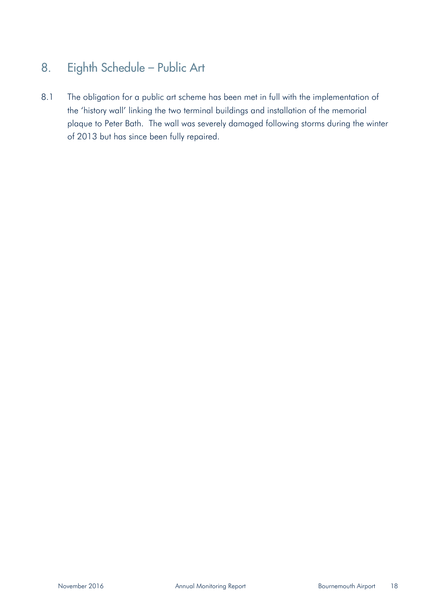## 8. Eighth Schedule – Public Art

8.1 The obligation for a public art scheme has been met in full with the implementation of the 'history wall' linking the two terminal buildings and installation of the memorial plaque to Peter Bath. The wall was severely damaged following storms during the winter of 2013 but has since been fully repaired.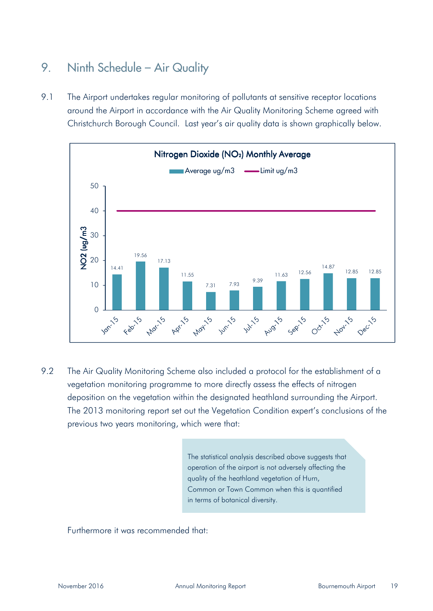## 9. Ninth Schedule - Air Quality

9.1 The Airport undertakes regular monitoring of pollutants at sensitive receptor locations around the Airport in accordance with the Air Quality Monitoring Scheme agreed with Christchurch Borough Council. Last year's air quality data is shown graphically below.



9.2 The Air Quality Monitoring Scheme also included a protocol for the establishment of a vegetation monitoring programme to more directly assess the effects of nitrogen deposition on the vegetation within the designated heathland surrounding the Airport. The 2013 monitoring report set out the Vegetation Condition expert's conclusions of the previous two years monitoring, which were that:

> The statistical analysis described above suggests that operation of the airport is not adversely affecting the quality of the heathland vegetation of Hurn, Common or Town Common when this is quantified in terms of botanical diversity.

Furthermore it was recommended that: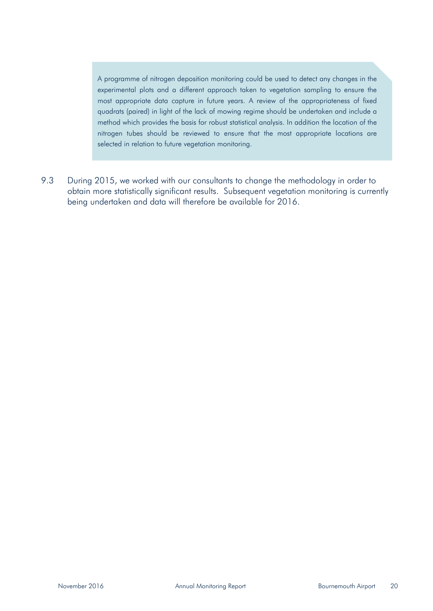A programme of nitrogen deposition monitoring could be used to detect any changes in the experimental plots and a different approach taken to vegetation sampling to ensure the most appropriate data capture in future years. A review of the appropriateness of fixed quadrats (paired) in light of the lack of mowing regime should be undertaken and include a method which provides the basis for robust statistical analysis. In addition the location of the nitrogen tubes should be reviewed to ensure that the most appropriate locations are selected in relation to future vegetation monitoring.

9.3 During 2015, we worked with our consultants to change the methodology in order to obtain more statistically significant results. Subsequent vegetation monitoring is currently being undertaken and data will therefore be available for 2016.